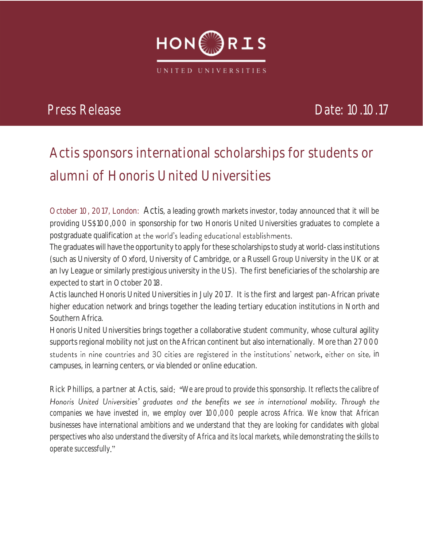

## *Press Release Date: 10.10.17*

# **Actis sponsors international scholarships for students or alumni of Honoris United Universities**

**October 10, 2017, London:** Actis, a leading growth markets investor, today announced that it will be providing US\$100,000 in sponsorship for two Honoris United Universities graduates to complete a postgraduate qualification at the world's leading educational establishments.

The graduates will have the opportunity to apply for these scholarships to study at world-class institutions (such as University of Oxford, University of Cambridge, or a Russell Group University in the UK or at an Ivy League or similarly prestigious university in the US). The first beneficiaries of the scholarship are expected to start in October 2018.

Actis launched Honoris United Universities in July 2017. It is the first and largest pan-African private higher education network and brings together the leading tertiary education institutions in North and Southern Africa.

Honoris United Universities brings together a collaborative student community, whose cultural agility supports regional mobility not just on the African continent but also internationally. More than 27 000 students in nine countries and 30 cities are registered in the institutions' network, either on site, in campuses, in learning centers, or via blended or online education.

Rick Phillips, a partner at Actis, said: "We are proud to provide this sponsorship. It reflects the calibre of Honoris United Universities' graduates and the benefits we see in international mobility. Through the *companies we have invested in, we employ over 100,000 people across Africa. We know that African businesses have international ambitions and we understand that they are looking for candidates with global perspectives who also understand the diversity of Africa and its local markets, while demonstrating the skills to operate successfully*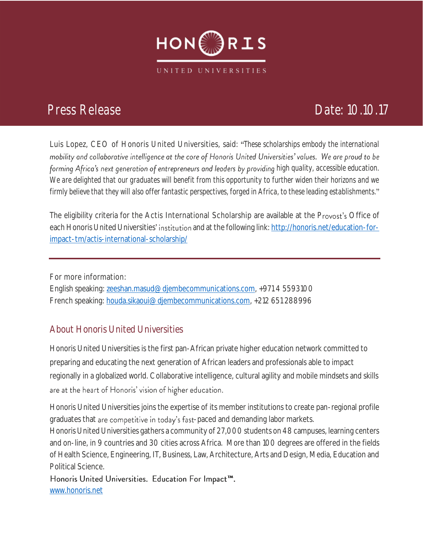

## *Press Release Date: 10.10.17*

Luis Lopez, CEO of Honoris United Universities, said: *These scholarships embody the international*  mobility and collaborative intelligence at the core of Honoris United Universities' values. We are proud to be forming Africa's next generation of entrepreneurs and leaders by providing high quality, accessible education. *We are delighted that our graduates will benefit from this opportunity to further widen their horizons and we firmly believe that they will also offer fantastic perspectives, forged in Africa, to these leading establishments.*

The eligibility criteria for the Actis International Scholarship are available at the Provost's Office of each Honoris United Universities' institution and at the following link: http://honoris.net/education-for[impact-tm/actis-international-scholarship/](http://honoris.net/education-for-impact-tm/actis-international-scholarship/)

For more information: English speaking: [zeeshan.masud@djembecommunications.com,](mailto:zeeshan.masud@djembecommunications.com) +971 4 5593100 French speaking: [houda.sikaoui@djembecommunications.com,](mailto:houda.sikaoui@djembecommunications.com) +212 651 288996

### **About Honoris United Universities**

Honoris United Universities is the first pan-African private higher education network committed to preparing and educating the next generation of African leaders and professionals able to impact regionally in a globalized world. Collaborative intelligence, cultural agility and mobile mindsets and skills are at the heart of Honoris' vision of higher education.

Honoris United Universities joins the expertise of its member institutions to create pan-regional profile graduates that are competitive in today's fast-paced and demanding labor markets.

Honoris United Universities gathers a community of 27,000 students on 48 campuses, learning centers and on-line, in 9 countries and 30 cities across Africa. More than 100 degrees are offered in the fields of Health Science, Engineering, IT, Business, Law, Architecture, Arts and Design, Media, Education and Political Science.

Honoris United Universities. Education For Impact™. [www.honoris.net](http://www.honoris.net/)